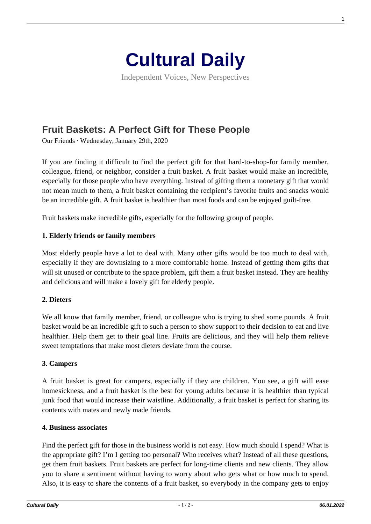

Independent Voices, New Perspectives

# **[Fruit Baskets: A Perfect Gift for These People](https://culturaldaily.com/fruit-baskets-perfect-gift-people/)**

Our Friends · Wednesday, January 29th, 2020

If you are finding it difficult to find the perfect gift for that hard-to-shop-for family member, colleague, friend, or neighbor, consider a fruit basket. A fruit basket would make an incredible, especially for those people who have everything. Instead of gifting them a monetary gift that would not mean much to them, a fruit basket containing the recipient's favorite fruits and snacks would be an incredible gift. A fruit basket is healthier than most foods and can be enjoyed guilt-free.

Fruit baskets make incredible gifts, especially for the following group of people.

## **1. Elderly friends or family members**

Most elderly people have a lot to deal with. Many other gifts would be too much to deal with, especially if they are downsizing to a more comfortable home. Instead of getting them gifts that will sit unused or contribute to the space problem, gift them a fruit basket instead. They are healthy and delicious and will make a lovely gift for elderly people.

## **2. Dieters**

We all know that family member, friend, or colleague who is trying to shed some pounds. A fruit basket would be an incredible gift to such a person to show support to their decision to eat and live healthier. Help them get to their goal line. Fruits are delicious, and they will help them relieve sweet temptations that make most dieters deviate from the course.

#### **3. Campers**

A fruit basket is great for campers, especially if they are children. You see, a gift will ease homesickness, and a fruit basket is the best for young adults because it is healthier than typical junk food that would increase their waistline. Additionally, a fruit basket is perfect for sharing its contents with mates and newly made friends.

#### **4. Business associates**

Find the perfect gift for those in the business world is not easy. How much should I spend? What is the appropriate gift? I'm I getting too personal? Who receives what? Instead of all these questions, get them fruit baskets. Fruit baskets are perfect for long-time clients and new clients. They allow you to share a sentiment without having to worry about who gets what or how much to spend. Also, it is easy to share the contents of a fruit basket, so everybody in the company gets to enjoy

**1**